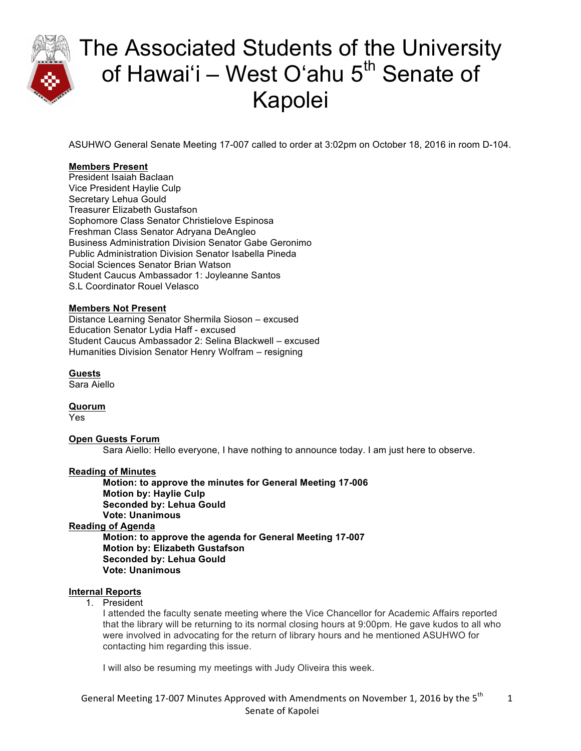

ASUHWO General Senate Meeting 17-007 called to order at 3:02pm on October 18, 2016 in room D-104.

### **Members Present**

President Isaiah Baclaan Vice President Haylie Culp Secretary Lehua Gould Treasurer Elizabeth Gustafson Sophomore Class Senator Christielove Espinosa Freshman Class Senator Adryana DeAngleo Business Administration Division Senator Gabe Geronimo Public Administration Division Senator Isabella Pineda Social Sciences Senator Brian Watson Student Caucus Ambassador 1: Joyleanne Santos S.L Coordinator Rouel Velasco

#### **Members Not Present**

Distance Learning Senator Shermila Sioson – excused Education Senator Lydia Haff - excused Student Caucus Ambassador 2: Selina Blackwell – excused Humanities Division Senator Henry Wolfram – resigning

**Guests** Sara Aiello

**Quorum** Yes

#### **Open Guests Forum**

Sara Aiello: Hello everyone, I have nothing to announce today. I am just here to observe.

#### **Reading of Minutes**

**Motion: to approve the minutes for General Meeting 17-006 Motion by: Haylie Culp Seconded by: Lehua Gould Vote: Unanimous Reading of Agenda Motion: to approve the agenda for General Meeting 17-007**

**Motion by: Elizabeth Gustafson Seconded by: Lehua Gould**

### **Vote: Unanimous**

#### **Internal Reports**

1. President

I attended the faculty senate meeting where the Vice Chancellor for Academic Affairs reported that the library will be returning to its normal closing hours at 9:00pm. He gave kudos to all who were involved in advocating for the return of library hours and he mentioned ASUHWO for contacting him regarding this issue.

I will also be resuming my meetings with Judy Oliveira this week.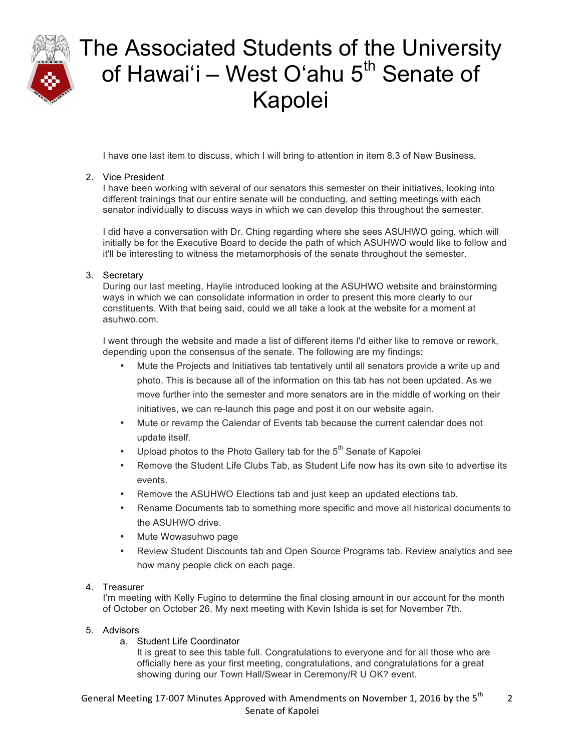

I have one last item to discuss, which I will bring to attention in item 8.3 of New Business.

#### 2. Vice President

I have been working with several of our senators this semester on their initiatives, looking into different trainings that our entire senate will be conducting, and setting meetings with each senator individually to discuss ways in which we can develop this throughout the semester.

I did have a conversation with Dr. Ching regarding where she sees ASUHWO going, which will initially be for the Executive Board to decide the path of which ASUHWO would like to follow and it'll be interesting to witness the metamorphosis of the senate throughout the semester.

#### 3. Secretary

During our last meeting, Haylie introduced looking at the ASUHWO website and brainstorming ways in which we can consolidate information in order to present this more clearly to our constituents. With that being said, could we all take a look at the website for a moment at asuhwo.com.

I went through the website and made a list of different items I'd either like to remove or rework, depending upon the consensus of the senate. The following are my findings:

- Mute the Projects and Initiatives tab tentatively until all senators provide a write up and photo. This is because all of the information on this tab has not been updated. As we move further into the semester and more senators are in the middle of working on their initiatives, we can re-launch this page and post it on our website again.
- Mute or revamp the Calendar of Events tab because the current calendar does not update itself.
- Upload photos to the Photo Gallery tab for the  $5<sup>th</sup>$  Senate of Kapolei
- Remove the Student Life Clubs Tab, as Student Life now has its own site to advertise its events.
- Remove the ASUHWO Elections tab and just keep an updated elections tab.
- Rename Documents tab to something more specific and move all historical documents to the ASUHWO drive.
- Mute Wowasuhwo page
- Review Student Discounts tab and Open Source Programs tab. Review analytics and see how many people click on each page.

#### 4. Treasurer

I'm meeting with Kelly Fugino to determine the final closing amount in our account for the month of October on October 26. My next meeting with Kevin Ishida is set for November 7th.

#### 5. Advisors

a. Student Life Coordinator

It is great to see this table full. Congratulations to everyone and for all those who are officially here as your first meeting, congratulations, and congratulations for a great showing during our Town Hall/Swear in Ceremony/R U OK? event.

#### General Meeting 17-007 Minutes Approved with Amendments on November 1, 2016 by the 5<sup>th</sup> Senate of Kapolei 2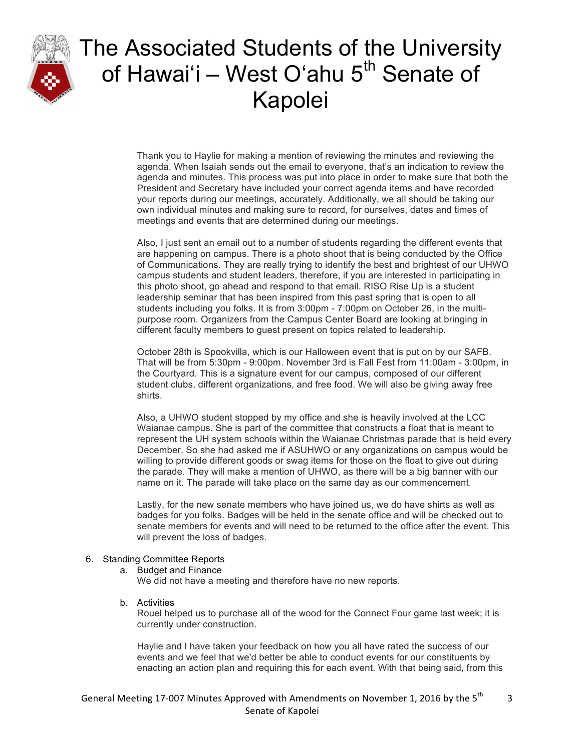

Thank you to Haylie for making a mention of reviewing the minutes and reviewing the agenda. When Isaiah sends out the email to everyone, that's an indication to review the agenda and minutes. This process was put into place in order to make sure that both the President and Secretary have included your correct agenda items and have recorded your reports during our meetings, accurately. Additionally, we all should be taking our own individual minutes and making sure to record, for ourselves, dates and times of meetings and events that are determined during our meetings.

Also, I just sent an email out to a number of students regarding the different events that are happening on campus. There is a photo shoot that is being conducted by the Office of Communications. They are really trying to identify the best and brightest of our UHWO campus students and student leaders, therefore, if you are interested in participating in this photo shoot, go ahead and respond to that email. RISO Rise Up is a student leadership seminar that has been inspired from this past spring that is open to all students including you folks. It is from 3:00pm - 7:00pm on October 26, in the multipurpose room. Organizers from the Campus Center Board are looking at bringing in different faculty members to guest present on topics related to leadership.

October 28th is Spookvilla, which is our Halloween event that is put on by our SAFB. That will be from 5:30pm - 9:00pm. November 3rd is Fall Fest from 11:00am - 3:00pm, in the Courtyard. This is a signature event for our campus, composed of our different student clubs, different organizations, and free food. We will also be giving away free shirts.

Also, a UHWO student stopped by my office and she is heavily involved at the LCC Waianae campus. She is part of the committee that constructs a float that is meant to represent the UH system schools within the Waianae Christmas parade that is held every December. So she had asked me if ASUHWO or any organizations on campus would be willing to provide different goods or swag items for those on the float to give out during the parade. They will make a mention of UHWO, as there will be a big banner with our name on it. The parade will take place on the same day as our commencement.

Lastly, for the new senate members who have joined us, we do have shirts as well as badges for you folks. Badges will be held in the senate office and will be checked out to senate members for events and will need to be returned to the office after the event. This will prevent the loss of badges.

#### 6. Standing Committee Reports

a. Budget and Finance

We did not have a meeting and therefore have no new reports.

b. Activities

Rouel helped us to purchase all of the wood for the Connect Four game last week; it is currently under construction.

Haylie and I have taken your feedback on how you all have rated the success of our events and we feel that we'd better be able to conduct events for our constituents by enacting an action plan and requiring this for each event. With that being said, from this

3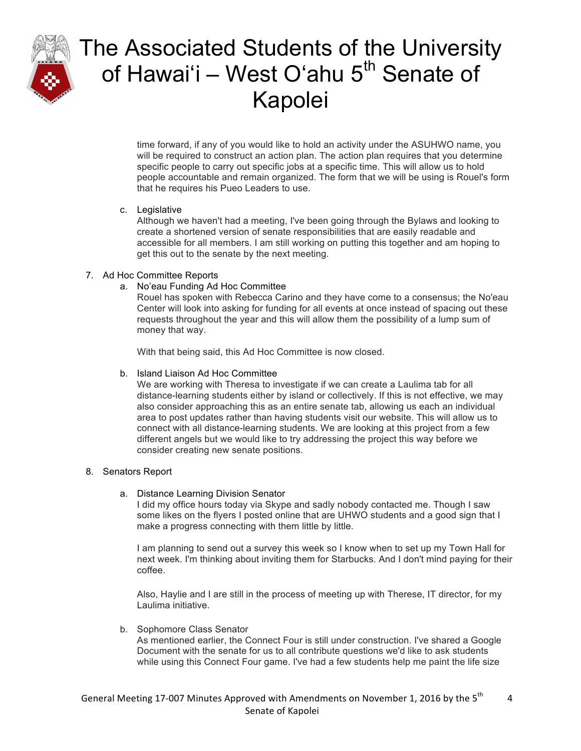

time forward, if any of you would like to hold an activity under the ASUHWO name, you will be required to construct an action plan. The action plan requires that you determine specific people to carry out specific jobs at a specific time. This will allow us to hold people accountable and remain organized. The form that we will be using is Rouel's form that he requires his Pueo Leaders to use.

#### c. Legislative

Although we haven't had a meeting, I've been going through the Bylaws and looking to create a shortened version of senate responsibilities that are easily readable and accessible for all members. I am still working on putting this together and am hoping to get this out to the senate by the next meeting.

### 7. Ad Hoc Committee Reports

### a. No'eau Funding Ad Hoc Committee

Rouel has spoken with Rebecca Carino and they have come to a consensus; the No'eau Center will look into asking for funding for all events at once instead of spacing out these requests throughout the year and this will allow them the possibility of a lump sum of money that way.

With that being said, this Ad Hoc Committee is now closed.

#### b. Island Liaison Ad Hoc Committee

We are working with Theresa to investigate if we can create a Laulima tab for all distance-learning students either by island or collectively. If this is not effective, we may also consider approaching this as an entire senate tab, allowing us each an individual area to post updates rather than having students visit our website. This will allow us to connect with all distance-learning students. We are looking at this project from a few different angels but we would like to try addressing the project this way before we consider creating new senate positions.

#### 8. Senators Report

a. Distance Learning Division Senator

I did my office hours today via Skype and sadly nobody contacted me. Though I saw some likes on the flyers I posted online that are UHWO students and a good sign that I make a progress connecting with them little by little.

I am planning to send out a survey this week so I know when to set up my Town Hall for next week. I'm thinking about inviting them for Starbucks. And I don't mind paying for their coffee.

Also, Haylie and I are still in the process of meeting up with Therese, IT director, for my Laulima initiative.

b. Sophomore Class Senator

As mentioned earlier, the Connect Four is still under construction. I've shared a Google Document with the senate for us to all contribute questions we'd like to ask students while using this Connect Four game. I've had a few students help me paint the life size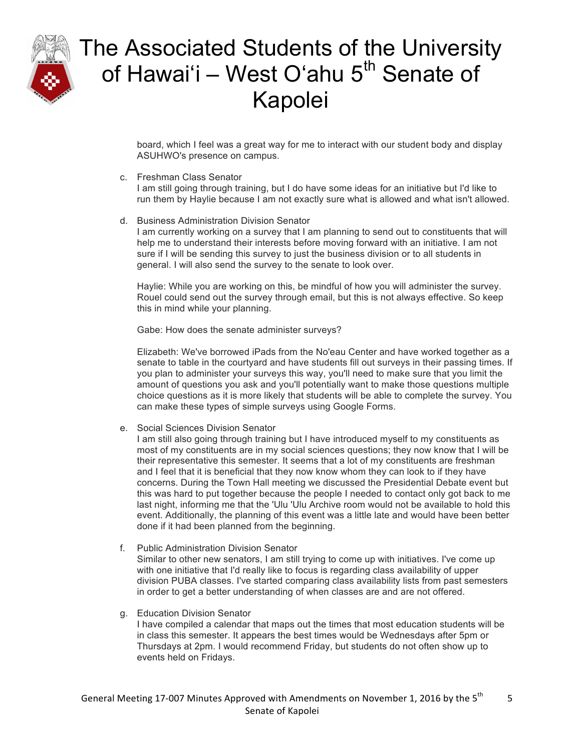

board, which I feel was a great way for me to interact with our student body and display ASUHWO's presence on campus.

c. Freshman Class Senator

I am still going through training, but I do have some ideas for an initiative but I'd like to run them by Haylie because I am not exactly sure what is allowed and what isn't allowed.

d. Business Administration Division Senator

I am currently working on a survey that I am planning to send out to constituents that will help me to understand their interests before moving forward with an initiative. I am not sure if I will be sending this survey to just the business division or to all students in general. I will also send the survey to the senate to look over.

Haylie: While you are working on this, be mindful of how you will administer the survey. Rouel could send out the survey through email, but this is not always effective. So keep this in mind while your planning.

Gabe: How does the senate administer surveys?

Elizabeth: We've borrowed iPads from the No'eau Center and have worked together as a senate to table in the courtyard and have students fill out surveys in their passing times. If you plan to administer your surveys this way, you'll need to make sure that you limit the amount of questions you ask and you'll potentially want to make those questions multiple choice questions as it is more likely that students will be able to complete the survey. You can make these types of simple surveys using Google Forms.

e. Social Sciences Division Senator

I am still also going through training but I have introduced myself to my constituents as most of my constituents are in my social sciences questions; they now know that I will be their representative this semester. It seems that a lot of my constituents are freshman and I feel that it is beneficial that they now know whom they can look to if they have concerns. During the Town Hall meeting we discussed the Presidential Debate event but this was hard to put together because the people I needed to contact only got back to me last night, informing me that the 'Ulu 'Ulu Archive room would not be available to hold this event. Additionally, the planning of this event was a little late and would have been better done if it had been planned from the beginning.

f. Public Administration Division Senator

Similar to other new senators, I am still trying to come up with initiatives. I've come up with one initiative that I'd really like to focus is regarding class availability of upper division PUBA classes. I've started comparing class availability lists from past semesters in order to get a better understanding of when classes are and are not offered.

g. Education Division Senator

I have compiled a calendar that maps out the times that most education students will be in class this semester. It appears the best times would be Wednesdays after 5pm or Thursdays at 2pm. I would recommend Friday, but students do not often show up to events held on Fridays.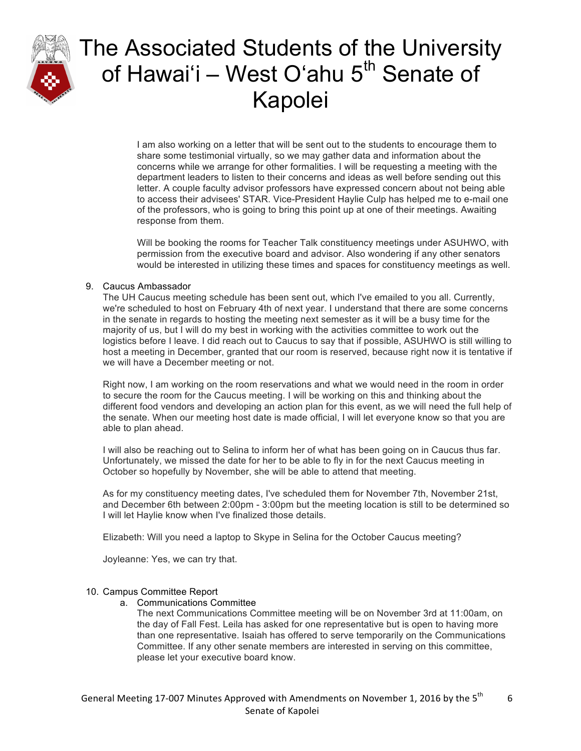

I am also working on a letter that will be sent out to the students to encourage them to share some testimonial virtually, so we may gather data and information about the concerns while we arrange for other formalities. I will be requesting a meeting with the department leaders to listen to their concerns and ideas as well before sending out this letter. A couple faculty advisor professors have expressed concern about not being able to access their advisees' STAR. Vice-President Haylie Culp has helped me to e-mail one of the professors, who is going to bring this point up at one of their meetings. Awaiting response from them.

Will be booking the rooms for Teacher Talk constituency meetings under ASUHWO, with permission from the executive board and advisor. Also wondering if any other senators would be interested in utilizing these times and spaces for constituency meetings as well.

#### 9. Caucus Ambassador

The UH Caucus meeting schedule has been sent out, which I've emailed to you all. Currently, we're scheduled to host on February 4th of next year. I understand that there are some concerns in the senate in regards to hosting the meeting next semester as it will be a busy time for the majority of us, but I will do my best in working with the activities committee to work out the logistics before I leave. I did reach out to Caucus to say that if possible, ASUHWO is still willing to host a meeting in December, granted that our room is reserved, because right now it is tentative if we will have a December meeting or not.

Right now, I am working on the room reservations and what we would need in the room in order to secure the room for the Caucus meeting. I will be working on this and thinking about the different food vendors and developing an action plan for this event, as we will need the full help of the senate. When our meeting host date is made official, I will let everyone know so that you are able to plan ahead.

I will also be reaching out to Selina to inform her of what has been going on in Caucus thus far. Unfortunately, we missed the date for her to be able to fly in for the next Caucus meeting in October so hopefully by November, she will be able to attend that meeting.

As for my constituency meeting dates, I've scheduled them for November 7th, November 21st, and December 6th between 2:00pm - 3:00pm but the meeting location is still to be determined so I will let Haylie know when I've finalized those details.

Elizabeth: Will you need a laptop to Skype in Selina for the October Caucus meeting?

Joyleanne: Yes, we can try that.

#### 10. Campus Committee Report

- a. Communications Committee
	- The next Communications Committee meeting will be on November 3rd at 11:00am, on the day of Fall Fest. Leila has asked for one representative but is open to having more than one representative. Isaiah has offered to serve temporarily on the Communications Committee. If any other senate members are interested in serving on this committee, please let your executive board know.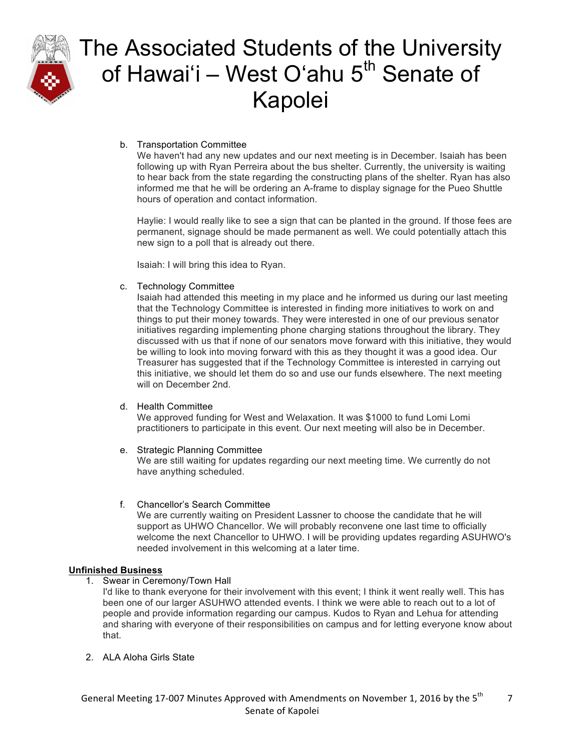

### b. Transportation Committee

We haven't had any new updates and our next meeting is in December. Isaiah has been following up with Ryan Perreira about the bus shelter. Currently, the university is waiting to hear back from the state regarding the constructing plans of the shelter. Ryan has also informed me that he will be ordering an A-frame to display signage for the Pueo Shuttle hours of operation and contact information.

Haylie: I would really like to see a sign that can be planted in the ground. If those fees are permanent, signage should be made permanent as well. We could potentially attach this new sign to a poll that is already out there.

Isaiah: I will bring this idea to Ryan.

#### c. Technology Committee

Isaiah had attended this meeting in my place and he informed us during our last meeting that the Technology Committee is interested in finding more initiatives to work on and things to put their money towards. They were interested in one of our previous senator initiatives regarding implementing phone charging stations throughout the library. They discussed with us that if none of our senators move forward with this initiative, they would be willing to look into moving forward with this as they thought it was a good idea. Our Treasurer has suggested that if the Technology Committee is interested in carrying out this initiative, we should let them do so and use our funds elsewhere. The next meeting will on December 2nd.

#### d. Health Committee

We approved funding for West and Welaxation. It was \$1000 to fund Lomi Lomi practitioners to participate in this event. Our next meeting will also be in December.

#### e. Strategic Planning Committee

We are still waiting for updates regarding our next meeting time. We currently do not have anything scheduled.

#### f. Chancellor's Search Committee

We are currently waiting on President Lassner to choose the candidate that he will support as UHWO Chancellor. We will probably reconvene one last time to officially welcome the next Chancellor to UHWO. I will be providing updates regarding ASUHWO's needed involvement in this welcoming at a later time.

#### **Unfinished Business**

- 1. Swear in Ceremony/Town Hall
	- I'd like to thank everyone for their involvement with this event; I think it went really well. This has been one of our larger ASUHWO attended events. I think we were able to reach out to a lot of people and provide information regarding our campus. Kudos to Ryan and Lehua for attending and sharing with everyone of their responsibilities on campus and for letting everyone know about that.
- 2. ALA Aloha Girls State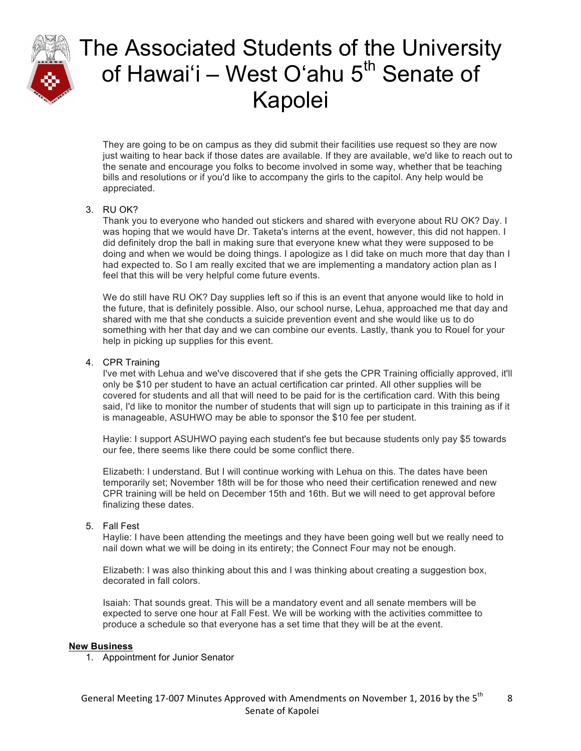

They are going to be on campus as they did submit their facilities use request so they are now just waiting to hear back if those dates are available. If they are available, we'd like to reach out to the senate and encourage you folks to become involved in some way, whether that be teaching bills and resolutions or if you'd like to accompany the girls to the capitol. Any help would be appreciated.

### 3. RU OK?

Thank you to everyone who handed out stickers and shared with everyone about RU OK? Day. I was hoping that we would have Dr. Taketa's interns at the event, however, this did not happen. I did definitely drop the ball in making sure that everyone knew what they were supposed to be doing and when we would be doing things. I apologize as I did take on much more that day than I had expected to. So I am really excited that we are implementing a mandatory action plan as I feel that this will be very helpful come future events.

We do still have RU OK? Day supplies left so if this is an event that anyone would like to hold in the future, that is definitely possible. Also, our school nurse, Lehua, approached me that day and shared with me that she conducts a suicide prevention event and she would like us to do something with her that day and we can combine our events. Lastly, thank you to Rouel for your help in picking up supplies for this event.

#### 4. CPR Training

I've met with Lehua and we've discovered that if she gets the CPR Training officially approved, it'll only be \$10 per student to have an actual certification car printed. All other supplies will be covered for students and all that will need to be paid for is the certification card. With this being said, I'd like to monitor the number of students that will sign up to participate in this training as if it is manageable, ASUHWO may be able to sponsor the \$10 fee per student.

Haylie: I support ASUHWO paying each student's fee but because students only pay \$5 towards our fee, there seems like there could be some conflict there.

Elizabeth: I understand. But I will continue working with Lehua on this. The dates have been temporarily set; November 18th will be for those who need their certification renewed and new CPR training will be held on December 15th and 16th. But we will need to get approval before finalizing these dates.

#### 5. Fall Fest

Haylie: I have been attending the meetings and they have been going well but we really need to nail down what we will be doing in its entirety; the Connect Four may not be enough.

Elizabeth: I was also thinking about this and I was thinking about creating a suggestion box, decorated in fall colors.

Isaiah: That sounds great. This will be a mandatory event and all senate members will be expected to serve one hour at Fall Fest. We will be working with the activities committee to produce a schedule so that everyone has a set time that they will be at the event.

#### **New Business**

1. Appointment for Junior Senator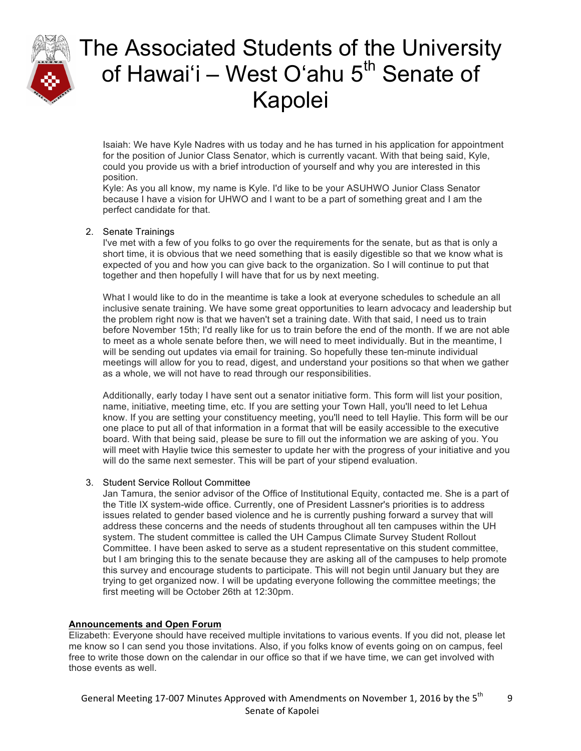

Isaiah: We have Kyle Nadres with us today and he has turned in his application for appointment for the position of Junior Class Senator, which is currently vacant. With that being said, Kyle, could you provide us with a brief introduction of yourself and why you are interested in this position.

Kyle: As you all know, my name is Kyle. I'd like to be your ASUHWO Junior Class Senator because I have a vision for UHWO and I want to be a part of something great and I am the perfect candidate for that.

#### 2. Senate Trainings

I've met with a few of you folks to go over the requirements for the senate, but as that is only a short time, it is obvious that we need something that is easily digestible so that we know what is expected of you and how you can give back to the organization. So I will continue to put that together and then hopefully I will have that for us by next meeting.

What I would like to do in the meantime is take a look at everyone schedules to schedule an all inclusive senate training. We have some great opportunities to learn advocacy and leadership but the problem right now is that we haven't set a training date. With that said, I need us to train before November 15th; I'd really like for us to train before the end of the month. If we are not able to meet as a whole senate before then, we will need to meet individually. But in the meantime, I will be sending out updates via email for training. So hopefully these ten-minute individual meetings will allow for you to read, digest, and understand your positions so that when we gather as a whole, we will not have to read through our responsibilities.

Additionally, early today I have sent out a senator initiative form. This form will list your position, name, initiative, meeting time, etc. If you are setting your Town Hall, you'll need to let Lehua know. If you are setting your constituency meeting, you'll need to tell Haylie. This form will be our one place to put all of that information in a format that will be easily accessible to the executive board. With that being said, please be sure to fill out the information we are asking of you. You will meet with Haylie twice this semester to update her with the progress of your initiative and you will do the same next semester. This will be part of your stipend evaluation.

#### 3. Student Service Rollout Committee

Jan Tamura, the senior advisor of the Office of Institutional Equity, contacted me. She is a part of the Title IX system-wide office. Currently, one of President Lassner's priorities is to address issues related to gender based violence and he is currently pushing forward a survey that will address these concerns and the needs of students throughout all ten campuses within the UH system. The student committee is called the UH Campus Climate Survey Student Rollout Committee. I have been asked to serve as a student representative on this student committee, but I am bringing this to the senate because they are asking all of the campuses to help promote this survey and encourage students to participate. This will not begin until January but they are trying to get organized now. I will be updating everyone following the committee meetings; the first meeting will be October 26th at 12:30pm.

#### **Announcements and Open Forum**

Elizabeth: Everyone should have received multiple invitations to various events. If you did not, please let me know so I can send you those invitations. Also, if you folks know of events going on on campus, feel free to write those down on the calendar in our office so that if we have time, we can get involved with those events as well.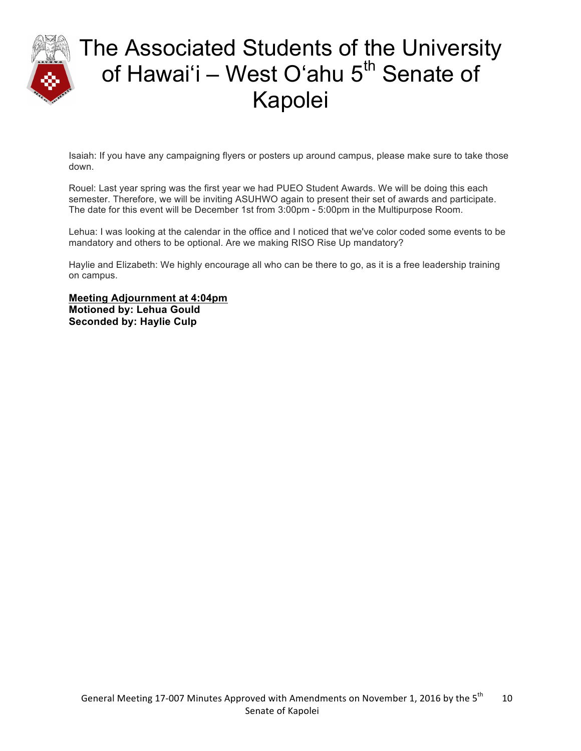

Isaiah: If you have any campaigning flyers or posters up around campus, please make sure to take those down.

Rouel: Last year spring was the first year we had PUEO Student Awards. We will be doing this each semester. Therefore, we will be inviting ASUHWO again to present their set of awards and participate. The date for this event will be December 1st from 3:00pm - 5:00pm in the Multipurpose Room.

Lehua: I was looking at the calendar in the office and I noticed that we've color coded some events to be mandatory and others to be optional. Are we making RISO Rise Up mandatory?

Haylie and Elizabeth: We highly encourage all who can be there to go, as it is a free leadership training on campus.

**Meeting Adjournment at 4:04pm Motioned by: Lehua Gould Seconded by: Haylie Culp**